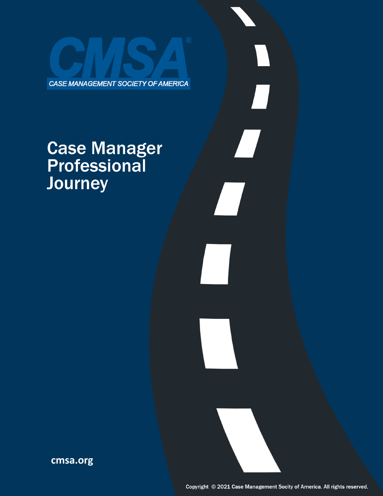CASE MANAGEMENT SOCIETY OF AMERICA

# **Case Manager<br>Professional** Journey

**cmsa.org**

 $\prod$ 

 $\boldsymbol{\mathcal{L}}$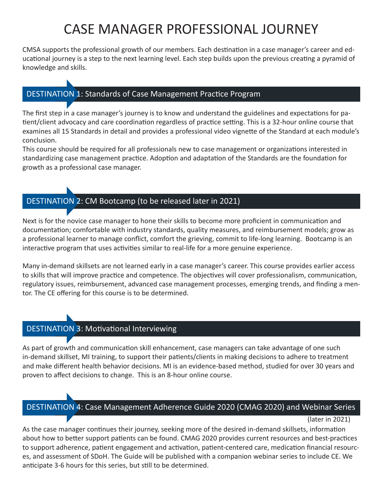# CASE MANAGER PROFESSIONAL JOURNEY

CMSA supports the professional growth of our members. Each destination in a case manager's career and educational journey is a step to the next learning level. Each step builds upon the previous creating a pyramid of knowledge and skills.

# DESTINATION 1: Standards of Case Management Practice Program

The first step in a case manager's journey is to know and understand the guidelines and expectations for patient/client advocacy and care coordination regardless of practice setting. This is a 32-hour online course that examines all 15 Standards in detail and provides a professional video vignette of the Standard at each module's conclusion.

This course should be required for all professionals new to case management or organizations interested in standardizing case management practice. Adoption and adaptation of the Standards are the foundation for growth as a professional case manager.

# DESTINATION 2: CM Bootcamp (to be released later in 2021)

Next is for the novice case manager to hone their skills to become more proficient in communication and documentation; comfortable with industry standards, quality measures, and reimbursement models; grow as a professional learner to manage conflict, comfort the grieving, commit to life-long learning. Bootcamp is an interactive program that uses activities similar to real-life for a more genuine experience.

Many in-demand skillsets are not learned early in a case manager's career. This course provides earlier access to skills that will improve practice and competence. The objectives will cover professionalism, communication, regulatory issues, reimbursement, advanced case management processes, emerging trends, and finding a mentor. The CE offering for this course is to be determined.

# DESTINATION 3: Motivational Interviewing

As part of growth and communication skill enhancement, case managers can take advantage of one such in-demand skillset, MI training, to support their patients/clients in making decisions to adhere to treatment and make different health behavior decisions. MI is an evidence-based method, studied for over 30 years and proven to affect decisions to change. This is an 8-hour online course.

# DESTINATION 4: Case Management Adherence Guide 2020 (CMAG 2020) and Webinar Series

### (later in 2021)

As the case manager continues their journey, seeking more of the desired in-demand skillsets, information about how to better support patients can be found. CMAG 2020 provides current resources and best-practices to support adherence, patient engagement and activation, patient-centered care, medication financial resources, and assessment of SDoH. The Guide will be published with a companion webinar series to include CE. We anticipate 3-6 hours for this series, but still to be determined.